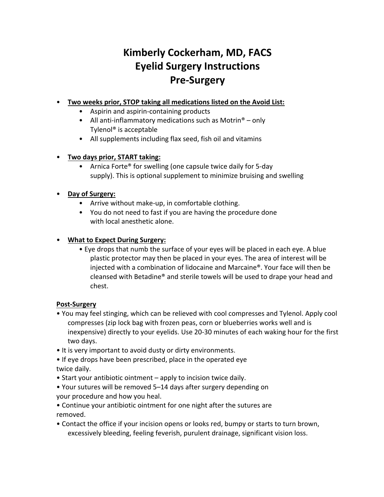# **Kimberly Cockerham, MD, FACS Eyelid Surgery Instructions Pre-Surgery**

# • **Two weeks prior, STOP taking all medications listed on the Avoid List:**

- Aspirin and aspirin-containing products
- All anti-inflammatory medications such as Motrin<sup>®</sup> only Tylenol® is acceptable
- All supplements including flax seed, fish oil and vitamins

## • **Two days prior, START taking:**

• Arnica Forte® for swelling (one capsule twice daily for 5-day supply). This is optional supplement to minimize bruising and swelling

# • **Day of Surgery:**

- Arrive without make-up, in comfortable clothing.
- You do not need to fast if you are having the procedure done with local anesthetic alone.

# • **What to Expect During Surgery:**

• Eye drops that numb the surface of your eyes will be placed in each eye. A blue plastic protector may then be placed in your eyes. The area of interest will be injected with a combination of lidocaine and Marcaine®. Your face will then be cleansed with Betadine® and sterile towels will be used to drape your head and chest.

## **Post-Surgery**

- You may feel stinging, which can be relieved with cool compresses and Tylenol. Apply cool compresses (zip lock bag with frozen peas, corn or blueberries works well and is inexpensive) directly to your eyelids. Use 20-30 minutes of each waking hour for the first two days.
- It is very important to avoid dusty or dirty environments.

• If eye drops have been prescribed, place in the operated eye twice daily.

- Start your antibiotic ointment apply to incision twice daily.
- Your sutures will be removed 5–14 days after surgery depending on your procedure and how you heal.
- Continue your antibiotic ointment for one night after the sutures are removed.
- Contact the office if your incision opens or looks red, bumpy or starts to turn brown, excessively bleeding, feeling feverish, purulent drainage, significant vision loss.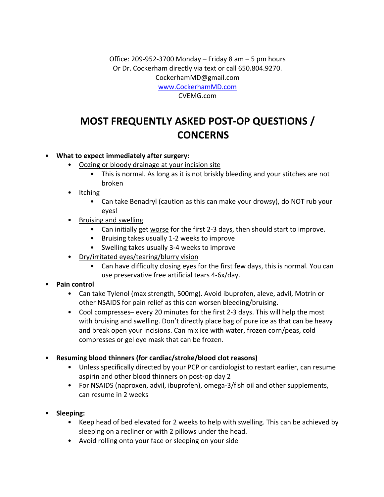Office: 209-952-3700 Monday – Friday 8 am – 5 pm hours Or Dr. Cockerham directly via text or call 650.804.9270. CockerhamMD@gmail.com www.CockerhamMD.com

CVEMG.com

# **MOST FREQUENTLY ASKED POST-OP QUESTIONS / CONCERNS**

#### • **What to expect immediately after surgery:**

- Oozing or bloody drainage at your incision site
	- This is normal. As long as it is not briskly bleeding and your stitches are not broken
- Itching
	- Can take Benadryl (caution as this can make your drowsy), do NOT rub your eyes!
- Bruising and swelling
	- Can initially get worse for the first 2-3 days, then should start to improve.
	- Bruising takes usually 1-2 weeks to improve
	- Swelling takes usually 3-4 weeks to improve
- Dry/irritated eyes/tearing/blurry vision
	- Can have difficulty closing eyes for the first few days, this is normal. You can use preservative free artificial tears 4-6x/day.

## • **Pain control**

- Can take Tylenol (max strength, 500mg). Avoid ibuprofen, aleve, advil, Motrin or other NSAIDS for pain relief as this can worsen bleeding/bruising.
- Cool compresses– every 20 minutes for the first 2-3 days. This will help the most with bruising and swelling. Don't directly place bag of pure ice as that can be heavy and break open your incisions. Can mix ice with water, frozen corn/peas, cold compresses or gel eye mask that can be frozen.
- **Resuming blood thinners (for cardiac/stroke/blood clot reasons)**
	- Unless specifically directed by your PCP or cardiologist to restart earlier, can resume aspirin and other blood thinners on post-op day 2
	- For NSAIDS (naproxen, advil, ibuprofen), omega-3/fish oil and other supplements, can resume in 2 weeks
- **Sleeping:**
	- Keep head of bed elevated for 2 weeks to help with swelling. This can be achieved by sleeping on a recliner or with 2 pillows under the head.
	- Avoid rolling onto your face or sleeping on your side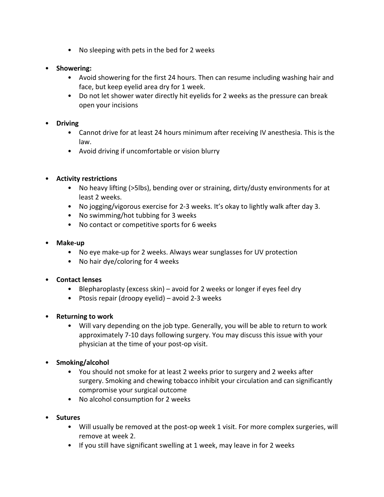- No sleeping with pets in the bed for 2 weeks
- **Showering:**
	- Avoid showering for the first 24 hours. Then can resume including washing hair and face, but keep eyelid area dry for 1 week.
	- Do not let shower water directly hit eyelids for 2 weeks as the pressure can break open your incisions

#### • **Driving**

- Cannot drive for at least 24 hours minimum after receiving IV anesthesia. This is the law.
- Avoid driving if uncomfortable or vision blurry

#### • **Activity restrictions**

- No heavy lifting (>5lbs), bending over or straining, dirty/dusty environments for at least 2 weeks.
- No jogging/vigorous exercise for 2-3 weeks. It's okay to lightly walk after day 3.
- No swimming/hot tubbing for 3 weeks
- No contact or competitive sports for 6 weeks
- **Make-up**
	- No eye make-up for 2 weeks. Always wear sunglasses for UV protection
	- No hair dye/coloring for 4 weeks

#### • **Contact lenses**

- Blepharoplasty (excess skin) avoid for 2 weeks or longer if eyes feel dry
- Ptosis repair (droopy eyelid) avoid 2-3 weeks
- **Returning to work**
	- Will vary depending on the job type. Generally, you will be able to return to work approximately 7-10 days following surgery. You may discuss this issue with your physician at the time of your post-op visit.
- **Smoking/alcohol**
	- You should not smoke for at least 2 weeks prior to surgery and 2 weeks after surgery. Smoking and chewing tobacco inhibit your circulation and can significantly compromise your surgical outcome
	- No alcohol consumption for 2 weeks
- **Sutures**
	- Will usually be removed at the post-op week 1 visit. For more complex surgeries, will remove at week 2.
	- If you still have significant swelling at 1 week, may leave in for 2 weeks